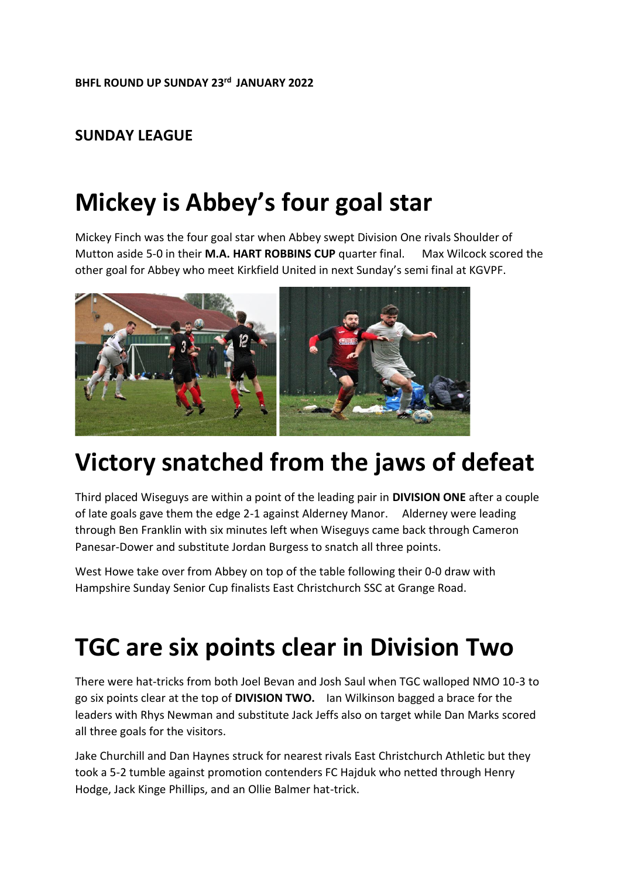#### **SUNDAY LEAGUE**

## **Mickey is Abbey's four goal star**

Mickey Finch was the four goal star when Abbey swept Division One rivals Shoulder of Mutton aside 5-0 in their **M.A. HART ROBBINS CUP** quarter final. Max Wilcock scored the other goal for Abbey who meet Kirkfield United in next Sunday's semi final at KGVPF.



## **Victory snatched from the jaws of defeat**

Third placed Wiseguys are within a point of the leading pair in **DIVISION ONE** after a couple of late goals gave them the edge 2-1 against Alderney Manor. Alderney were leading through Ben Franklin with six minutes left when Wiseguys came back through Cameron Panesar-Dower and substitute Jordan Burgess to snatch all three points.

West Howe take over from Abbey on top of the table following their 0-0 draw with Hampshire Sunday Senior Cup finalists East Christchurch SSC at Grange Road.

#### **TGC are six points clear in Division Two**

There were hat-tricks from both Joel Bevan and Josh Saul when TGC walloped NMO 10-3 to go six points clear at the top of **DIVISION TWO.** Ian Wilkinson bagged a brace for the leaders with Rhys Newman and substitute Jack Jeffs also on target while Dan Marks scored all three goals for the visitors.

Jake Churchill and Dan Haynes struck for nearest rivals East Christchurch Athletic but they took a 5-2 tumble against promotion contenders FC Hajduk who netted through Henry Hodge, Jack Kinge Phillips, and an Ollie Balmer hat-trick.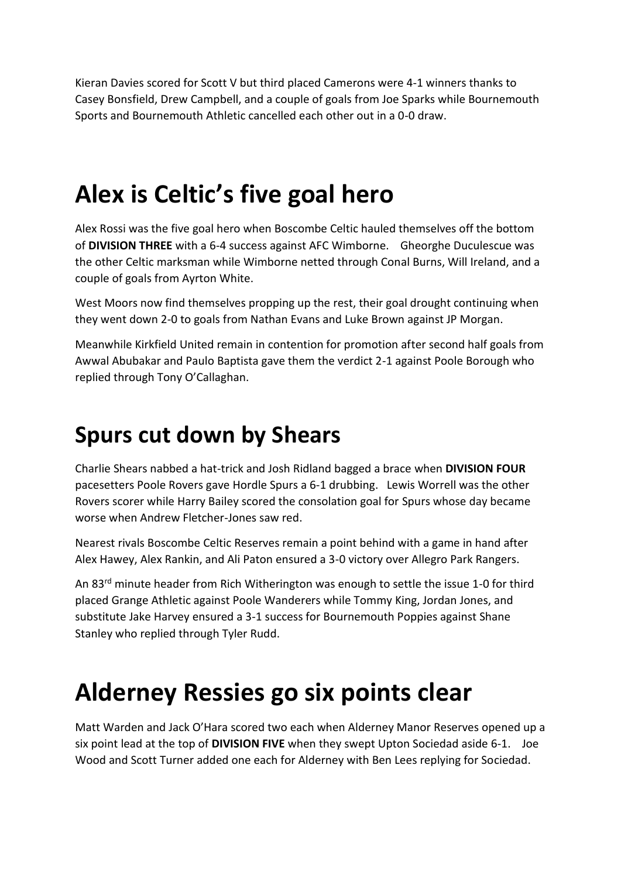Kieran Davies scored for Scott V but third placed Camerons were 4-1 winners thanks to Casey Bonsfield, Drew Campbell, and a couple of goals from Joe Sparks while Bournemouth Sports and Bournemouth Athletic cancelled each other out in a 0-0 draw.

## **Alex is Celtic's five goal hero**

Alex Rossi was the five goal hero when Boscombe Celtic hauled themselves off the bottom of **DIVISION THREE** with a 6-4 success against AFC Wimborne. Gheorghe Duculescue was the other Celtic marksman while Wimborne netted through Conal Burns, Will Ireland, and a couple of goals from Ayrton White.

West Moors now find themselves propping up the rest, their goal drought continuing when they went down 2-0 to goals from Nathan Evans and Luke Brown against JP Morgan.

Meanwhile Kirkfield United remain in contention for promotion after second half goals from Awwal Abubakar and Paulo Baptista gave them the verdict 2-1 against Poole Borough who replied through Tony O'Callaghan.

#### **Spurs cut down by Shears**

Charlie Shears nabbed a hat-trick and Josh Ridland bagged a brace when **DIVISION FOUR** pacesetters Poole Rovers gave Hordle Spurs a 6-1 drubbing. Lewis Worrell was the other Rovers scorer while Harry Bailey scored the consolation goal for Spurs whose day became worse when Andrew Fletcher-Jones saw red.

Nearest rivals Boscombe Celtic Reserves remain a point behind with a game in hand after Alex Hawey, Alex Rankin, and Ali Paton ensured a 3-0 victory over Allegro Park Rangers.

An 83<sup>rd</sup> minute header from Rich Witherington was enough to settle the issue 1-0 for third placed Grange Athletic against Poole Wanderers while Tommy King, Jordan Jones, and substitute Jake Harvey ensured a 3-1 success for Bournemouth Poppies against Shane Stanley who replied through Tyler Rudd.

# **Alderney Ressies go six points clear**

Matt Warden and Jack O'Hara scored two each when Alderney Manor Reserves opened up a six point lead at the top of **DIVISION FIVE** when they swept Upton Sociedad aside 6-1. Joe Wood and Scott Turner added one each for Alderney with Ben Lees replying for Sociedad.